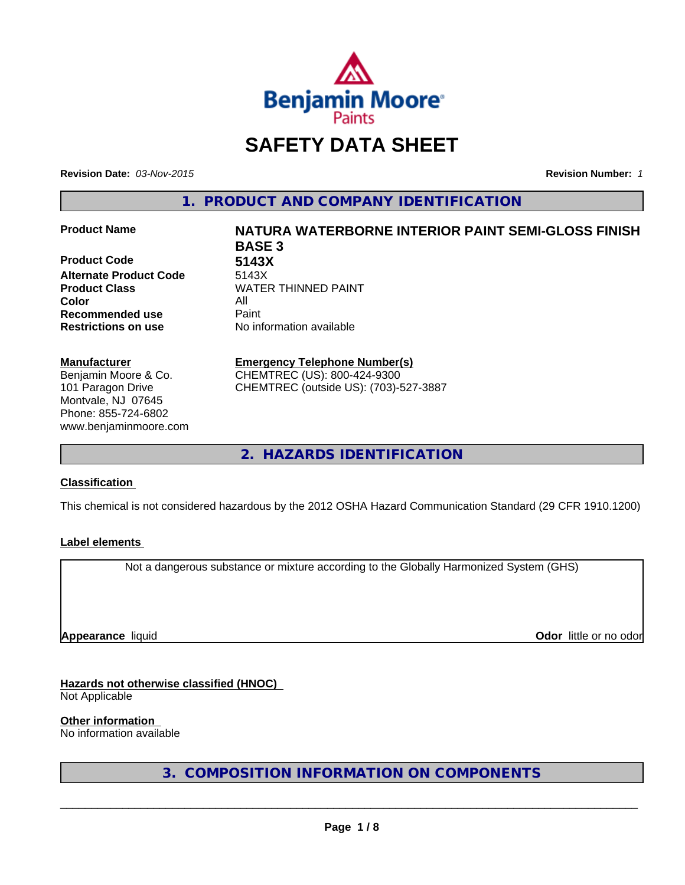

# **SAFETY DATA SHEET**

**Revision Date:** *03-Nov-2015* **Revision Number:** *1*

**1. PRODUCT AND COMPANY IDENTIFICATION**

**Product Code 5143X Alternate Product Code** 5143X **Color** All **Recommended use Paint** 

**Manufacturer** Benjamin Moore & Co. 101 Paragon Drive Montvale, NJ 07645 Phone: 855-724-6802 www.benjaminmoore.com

# **Product Name NATURA WATERBORNE INTERIOR PAINT SEMI-GLOSS FINISH BASE 3 Product Class WATER THINNED PAINT**

**Restrictions on use** No information available

#### **Emergency Telephone Number(s)** CHEMTREC (US): 800-424-9300

CHEMTREC (outside US): (703)-527-3887

**2. HAZARDS IDENTIFICATION**

# **Classification**

This chemical is not considered hazardous by the 2012 OSHA Hazard Communication Standard (29 CFR 1910.1200)

# **Label elements**

Not a dangerous substance or mixture according to the Globally Harmonized System (GHS)

**Appearance** liquid

**Odor** little or no odor

# **Hazards not otherwise classified (HNOC)**

Not Applicable

# **Other information**

No information available

**3. COMPOSITION INFORMATION ON COMPONENTS**

 $\overline{\phantom{a}}$  ,  $\overline{\phantom{a}}$  ,  $\overline{\phantom{a}}$  ,  $\overline{\phantom{a}}$  ,  $\overline{\phantom{a}}$  ,  $\overline{\phantom{a}}$  ,  $\overline{\phantom{a}}$  ,  $\overline{\phantom{a}}$  ,  $\overline{\phantom{a}}$  ,  $\overline{\phantom{a}}$  ,  $\overline{\phantom{a}}$  ,  $\overline{\phantom{a}}$  ,  $\overline{\phantom{a}}$  ,  $\overline{\phantom{a}}$  ,  $\overline{\phantom{a}}$  ,  $\overline{\phantom{a}}$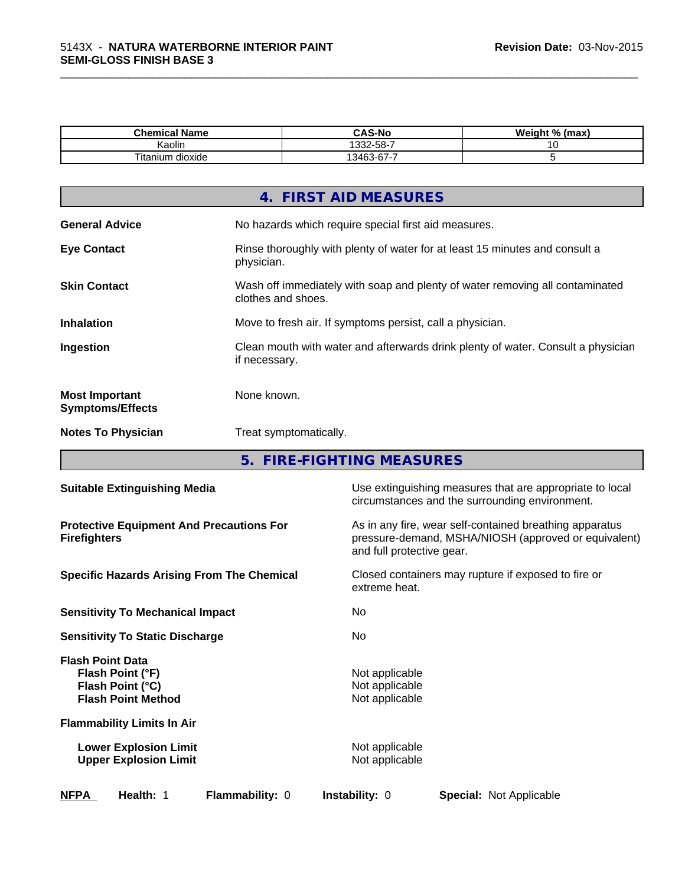| . .<br>Chemical Name   | <b>CAS-No</b>                                   | Weight %<br>(max |
|------------------------|-------------------------------------------------|------------------|
| <br>Kaolin             | 1332-58-7                                       |                  |
| --<br>Fitanium dioxide | $\sim$<br>-<br>$\sim$<br>. 346?<br>$2 - 5$<br>. |                  |

\_\_\_\_\_\_\_\_\_\_\_\_\_\_\_\_\_\_\_\_\_\_\_\_\_\_\_\_\_\_\_\_\_\_\_\_\_\_\_\_\_\_\_\_\_\_\_\_\_\_\_\_\_\_\_\_\_\_\_\_\_\_\_\_\_\_\_\_\_\_\_\_\_\_\_\_\_\_\_\_\_\_\_\_\_\_\_\_\_\_\_\_\_

|                                                  | 4. FIRST AID MEASURES                                                                              |
|--------------------------------------------------|----------------------------------------------------------------------------------------------------|
| <b>General Advice</b>                            | No hazards which require special first aid measures.                                               |
| <b>Eye Contact</b>                               | Rinse thoroughly with plenty of water for at least 15 minutes and consult a<br>physician.          |
| <b>Skin Contact</b>                              | Wash off immediately with soap and plenty of water removing all contaminated<br>clothes and shoes. |
| <b>Inhalation</b>                                | Move to fresh air. If symptoms persist, call a physician.                                          |
| Ingestion                                        | Clean mouth with water and afterwards drink plenty of water. Consult a physician<br>if necessary.  |
| <b>Most Important</b><br><b>Symptoms/Effects</b> | None known.                                                                                        |
| <b>Notes To Physician</b>                        | Treat symptomatically.                                                                             |
|                                                  |                                                                                                    |

**5. FIRE-FIGHTING MEASURES**

| <b>Suitable Extinguishing Media</b>                                                          | Use extinguishing measures that are appropriate to local<br>circumstances and the surrounding environment.                                   |  |
|----------------------------------------------------------------------------------------------|----------------------------------------------------------------------------------------------------------------------------------------------|--|
| <b>Protective Equipment And Precautions For</b><br><b>Firefighters</b>                       | As in any fire, wear self-contained breathing apparatus<br>pressure-demand, MSHA/NIOSH (approved or equivalent)<br>and full protective gear. |  |
| <b>Specific Hazards Arising From The Chemical</b>                                            | Closed containers may rupture if exposed to fire or<br>extreme heat.                                                                         |  |
| <b>Sensitivity To Mechanical Impact</b>                                                      | No.                                                                                                                                          |  |
| <b>Sensitivity To Static Discharge</b>                                                       | No.                                                                                                                                          |  |
| <b>Flash Point Data</b><br>Flash Point (°F)<br>Flash Point (°C)<br><b>Flash Point Method</b> | Not applicable<br>Not applicable<br>Not applicable                                                                                           |  |
| <b>Flammability Limits In Air</b>                                                            |                                                                                                                                              |  |
| <b>Lower Explosion Limit</b><br><b>Upper Explosion Limit</b>                                 | Not applicable<br>Not applicable                                                                                                             |  |
| <b>NFPA</b><br>Health: 1<br><b>Flammability: 0</b>                                           | <b>Instability: 0</b><br>Special: Not Applicable                                                                                             |  |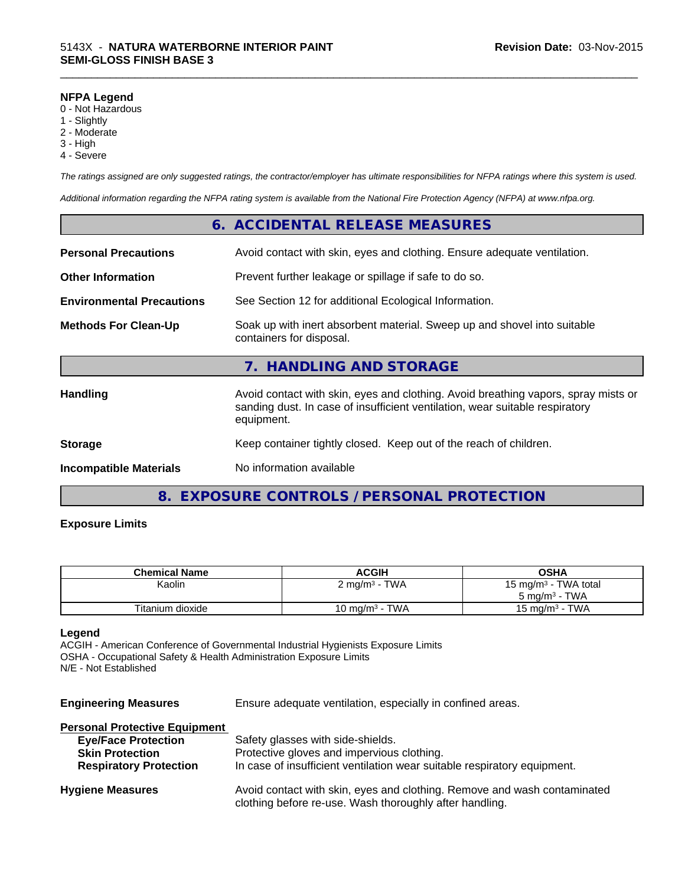#### **NFPA Legend**

- 0 Not Hazardous
- 1 Slightly
- 2 Moderate
- 3 High
- 4 Severe

*The ratings assigned are only suggested ratings, the contractor/employer has ultimate responsibilities for NFPA ratings where this system is used.*

\_\_\_\_\_\_\_\_\_\_\_\_\_\_\_\_\_\_\_\_\_\_\_\_\_\_\_\_\_\_\_\_\_\_\_\_\_\_\_\_\_\_\_\_\_\_\_\_\_\_\_\_\_\_\_\_\_\_\_\_\_\_\_\_\_\_\_\_\_\_\_\_\_\_\_\_\_\_\_\_\_\_\_\_\_\_\_\_\_\_\_\_\_

*Additional information regarding the NFPA rating system is available from the National Fire Protection Agency (NFPA) at www.nfpa.org.*

|                                  | 6. ACCIDENTAL RELEASE MEASURES                                                                                                                                                   |
|----------------------------------|----------------------------------------------------------------------------------------------------------------------------------------------------------------------------------|
| <b>Personal Precautions</b>      | Avoid contact with skin, eyes and clothing. Ensure adequate ventilation.                                                                                                         |
| <b>Other Information</b>         | Prevent further leakage or spillage if safe to do so.                                                                                                                            |
| <b>Environmental Precautions</b> | See Section 12 for additional Ecological Information.                                                                                                                            |
| <b>Methods For Clean-Up</b>      | Soak up with inert absorbent material. Sweep up and shovel into suitable<br>containers for disposal.                                                                             |
|                                  | 7. HANDLING AND STORAGE                                                                                                                                                          |
| <b>Handling</b>                  | Avoid contact with skin, eyes and clothing. Avoid breathing vapors, spray mists or<br>sanding dust. In case of insufficient ventilation, wear suitable respiratory<br>equipment. |
| <b>Storage</b>                   | Keep container tightly closed. Keep out of the reach of children.                                                                                                                |
| <b>Incompatible Materials</b>    | No information available                                                                                                                                                         |
|                                  |                                                                                                                                                                                  |

# **8. EXPOSURE CONTROLS / PERSONAL PROTECTION**

### **Exposure Limits**

| <b>Chemical Name</b> | <b>ACGIH</b>              | OSHA                             |
|----------------------|---------------------------|----------------------------------|
| Kaolin               | 2 mg/m <sup>3</sup> - TWA | 15 mg/m <sup>3</sup> - TWA total |
|                      |                           | $5 \text{ ma/m}^3$ - TWA         |
| Titanium dioxide     | 10 mg/m $3$ - TWA         | 15 mg/m <sup>3</sup> - TWA       |

#### **Legend**

ACGIH - American Conference of Governmental Industrial Hygienists Exposure Limits OSHA - Occupational Safety & Health Administration Exposure Limits N/E - Not Established

**Engineering Measures** Ensure adequate ventilation, especially in confined areas.

| <b>Personal Protective Equipment</b> |                                                                                                                                     |
|--------------------------------------|-------------------------------------------------------------------------------------------------------------------------------------|
| <b>Eye/Face Protection</b>           | Safety glasses with side-shields.                                                                                                   |
| <b>Skin Protection</b>               | Protective gloves and impervious clothing.                                                                                          |
| <b>Respiratory Protection</b>        | In case of insufficient ventilation wear suitable respiratory equipment.                                                            |
| <b>Hygiene Measures</b>              | Avoid contact with skin, eyes and clothing. Remove and wash contaminated<br>clothing before re-use. Wash thoroughly after handling. |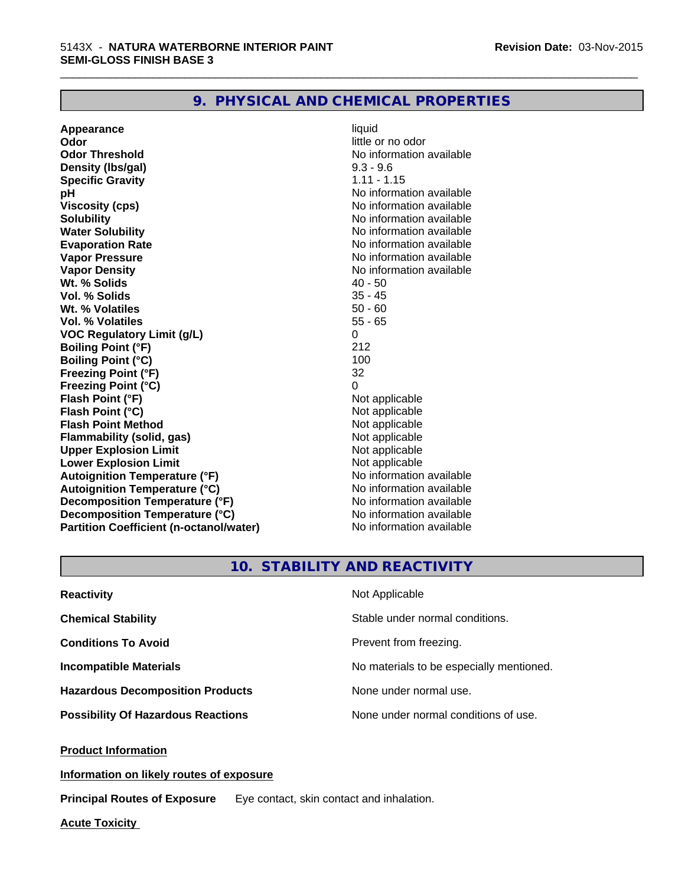# **9. PHYSICAL AND CHEMICAL PROPERTIES**

**Appearance** liquid **Odor** little or no odor **Odor Threshold** No information available **Density (Ibs/gal)** 9.3 - 9.6 **Specific Gravity** 1.11 - 1.15 **pH pH**  $\blacksquare$ **Viscosity (cps)** No information available **Solubility Note 2008 Note 2008 Note 2008 Note 2008 Note 2008 Note 2008 Note 2008 Note 2008 Note 2008 Note 2008 Note 2008 Note 2008 Note 2008 Note 2008 Note 2008 Note 2008 Note 2008 Note Water Solubility No information available No information available Evaporation Rate No information available No information available Vapor Pressure** No information available **Vapor Density Vapor Density No information available Wt. % Solids** 40 - 50 **Vol. % Solids Wt. % Volatiles** 50 - 60 **Vol. % Volatiles** 55 - 65 **VOC Regulatory Limit (g/L)** 0 **Boiling Point (°F)** 212 **Boiling Point (°C)** 100<br> **Preezing Point (°F)** 32 **Freezing Point (°F) Freezing Point (°C)** 0 **Flash Point (°F)**<br> **Flash Point (°C)**<br> **Flash Point (°C)**<br> **C Flash Point (°C)**<br> **Flash Point Method**<br> **Flash Point Method**<br> **Point Method**<br> **Point Method**<br> **Point Method Flash Point Method Flammability (solid, gas)** Not applicable<br> **Upper Explosion Limit** Not applicable<br>
Not applicable **Upper Explosion Limit Lower Explosion Limit Contract Accord Accord Accord Accord Accord Accord Accord Accord Accord Accord Accord Accord Accord Accord Accord Accord Accord Accord Accord Accord Accord Accord Accord Accord Accord Accord Accord Autoignition Temperature (°F)**<br> **Autoignition Temperature (°C)** No information available **Autoignition Temperature (°C) Decomposition Temperature (°F)** No information available **Decomposition Temperature (°C)** No information available<br> **Partition Coefficient (n-octanol/water)** No information available **Partition Coefficient (n-octanol/water)** 

\_\_\_\_\_\_\_\_\_\_\_\_\_\_\_\_\_\_\_\_\_\_\_\_\_\_\_\_\_\_\_\_\_\_\_\_\_\_\_\_\_\_\_\_\_\_\_\_\_\_\_\_\_\_\_\_\_\_\_\_\_\_\_\_\_\_\_\_\_\_\_\_\_\_\_\_\_\_\_\_\_\_\_\_\_\_\_\_\_\_\_\_\_

# **10. STABILITY AND REACTIVITY**

| <b>Reactivity</b>                         | Not Applicable                           |
|-------------------------------------------|------------------------------------------|
| <b>Chemical Stability</b>                 | Stable under normal conditions.          |
| <b>Conditions To Avoid</b>                | Prevent from freezing.                   |
| <b>Incompatible Materials</b>             | No materials to be especially mentioned. |
| <b>Hazardous Decomposition Products</b>   | None under normal use.                   |
| <b>Possibility Of Hazardous Reactions</b> | None under normal conditions of use.     |

**Product Information**

**Information on likely routes of exposure**

**Principal Routes of Exposure** Eye contact, skin contact and inhalation.

**Acute Toxicity**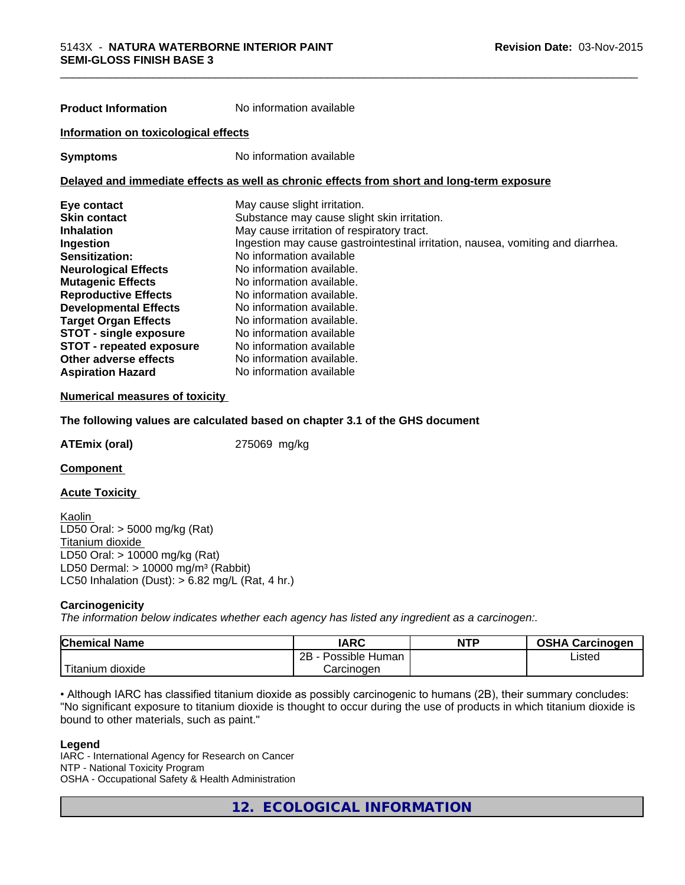| <b>Product Information</b>                                                                 | No information available                                                        |  |  |  |
|--------------------------------------------------------------------------------------------|---------------------------------------------------------------------------------|--|--|--|
| Information on toxicological effects                                                       |                                                                                 |  |  |  |
| <b>Symptoms</b>                                                                            | No information available                                                        |  |  |  |
| Delayed and immediate effects as well as chronic effects from short and long-term exposure |                                                                                 |  |  |  |
| Eye contact                                                                                | May cause slight irritation.                                                    |  |  |  |
| Skin contact                                                                               | Substance may cause slight skin irritation.                                     |  |  |  |
| Inhalation                                                                                 | May cause irritation of respiratory tract.                                      |  |  |  |
| Ingestion                                                                                  | Ingestion may cause gastrointestinal irritation, nausea, vomiting and diarrhea. |  |  |  |
| <b>Sensitization:</b>                                                                      | No information available                                                        |  |  |  |
| <b>Neurological Effects</b>                                                                | No information available.                                                       |  |  |  |
| <b>Mutagenic Effects</b>                                                                   | No information available.                                                       |  |  |  |
| <b>Reproductive Effects</b>                                                                | No information available.                                                       |  |  |  |
| <b>Developmental Effects</b>                                                               | No information available.                                                       |  |  |  |
| <b>Target Organ Effects</b>                                                                | No information available.                                                       |  |  |  |
| <b>STOT - single exposure</b>                                                              | No information available                                                        |  |  |  |
| <b>STOT - repeated exposure</b>                                                            | No information available                                                        |  |  |  |
| Other adverse effects                                                                      | No information available.                                                       |  |  |  |

#### **Numerical measures of toxicity**

#### **The following values are calculated based on chapter 3.1 of the GHS document**

**ATEmix (oral)** 275069 mg/kg

**Component** 

#### **Acute Toxicity**

Kaolin LD50 Oral: > 5000 mg/kg (Rat) Titanium dioxide LD50 Oral: > 10000 mg/kg (Rat) LD50 Dermal:  $> 10000$  mg/m<sup>3</sup> (Rabbit) LC50 Inhalation (Dust):  $> 6.82$  mg/L (Rat, 4 hr.)

**Aspiration Hazard** No information available

#### **Carcinogenicity**

*The information below indicateswhether each agency has listed any ingredient as a carcinogen:.*

| <b>Chemical Name</b>             | <b>IARC</b>                 | <b>NTP</b> | <b>OSHA</b><br>Carcinogen |
|----------------------------------|-----------------------------|------------|---------------------------|
|                                  | 2B<br>. .<br>Possible Human |            | Listed                    |
| .<br>, dioxide<br><b>itanium</b> | Carcinogen                  |            |                           |

• Although IARC has classified titanium dioxide as possibly carcinogenic to humans (2B), their summary concludes: "No significant exposure to titanium dioxide is thought to occur during the use of products in which titanium dioxide is bound to other materials, such as paint."

#### **Legend**

IARC - International Agency for Research on Cancer NTP - National Toxicity Program OSHA - Occupational Safety & Health Administration

**12. ECOLOGICAL INFORMATION**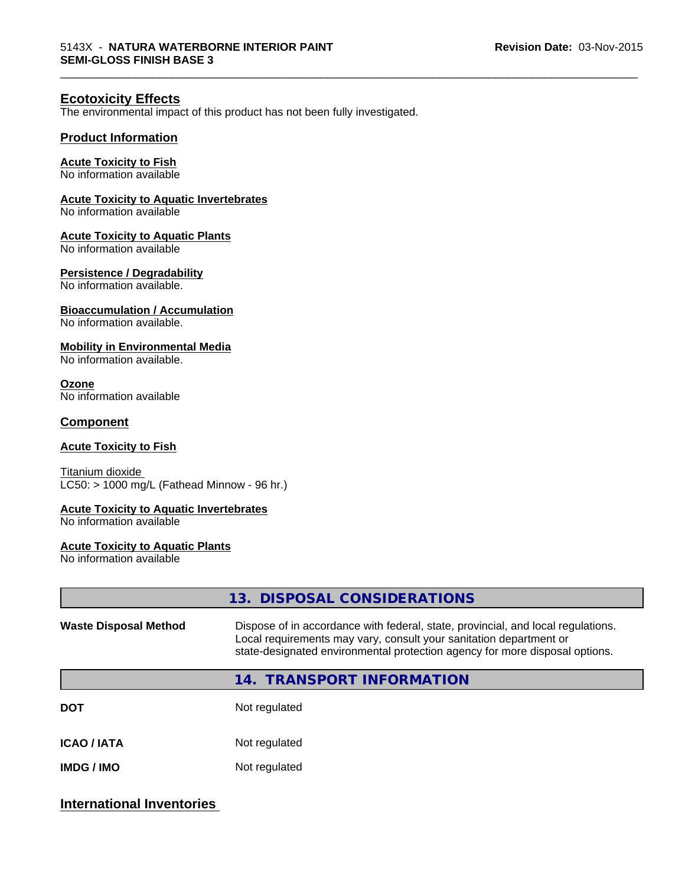\_\_\_\_\_\_\_\_\_\_\_\_\_\_\_\_\_\_\_\_\_\_\_\_\_\_\_\_\_\_\_\_\_\_\_\_\_\_\_\_\_\_\_\_\_\_\_\_\_\_\_\_\_\_\_\_\_\_\_\_\_\_\_\_\_\_\_\_\_\_\_\_\_\_\_\_\_\_\_\_\_\_\_\_\_\_\_\_\_\_\_\_\_

# **Ecotoxicity Effects**

The environmental impact of this product has not been fully investigated.

## **Product Information**

#### **Acute Toxicity to Fish**

No information available

### **Acute Toxicity to Aquatic Invertebrates**

No information available

#### **Acute Toxicity to Aquatic Plants**

No information available

#### **Persistence / Degradability**

No information available.

#### **Bioaccumulation / Accumulation**

No information available.

#### **Mobility in Environmental Media**

No information available.

#### **Ozone**

No information available

#### **Component**

# **Acute Toxicity to Fish**

Titanium dioxide  $LC50:$  > 1000 mg/L (Fathead Minnow - 96 hr.)

#### **Acute Toxicity to Aquatic Invertebrates**

No information available

#### **Acute Toxicity to Aquatic Plants**

No information available

|                              | 13. DISPOSAL CONSIDERATIONS                                                                                                                                                                                                           |  |
|------------------------------|---------------------------------------------------------------------------------------------------------------------------------------------------------------------------------------------------------------------------------------|--|
| <b>Waste Disposal Method</b> | Dispose of in accordance with federal, state, provincial, and local regulations.<br>Local requirements may vary, consult your sanitation department or<br>state-designated environmental protection agency for more disposal options. |  |
|                              | 14. TRANSPORT INFORMATION                                                                                                                                                                                                             |  |
| <b>DOT</b>                   | Not regulated                                                                                                                                                                                                                         |  |
| <b>ICAO/IATA</b>             | Not regulated                                                                                                                                                                                                                         |  |
| <b>IMDG / IMO</b>            | Not regulated                                                                                                                                                                                                                         |  |
|                              |                                                                                                                                                                                                                                       |  |

# **International Inventories**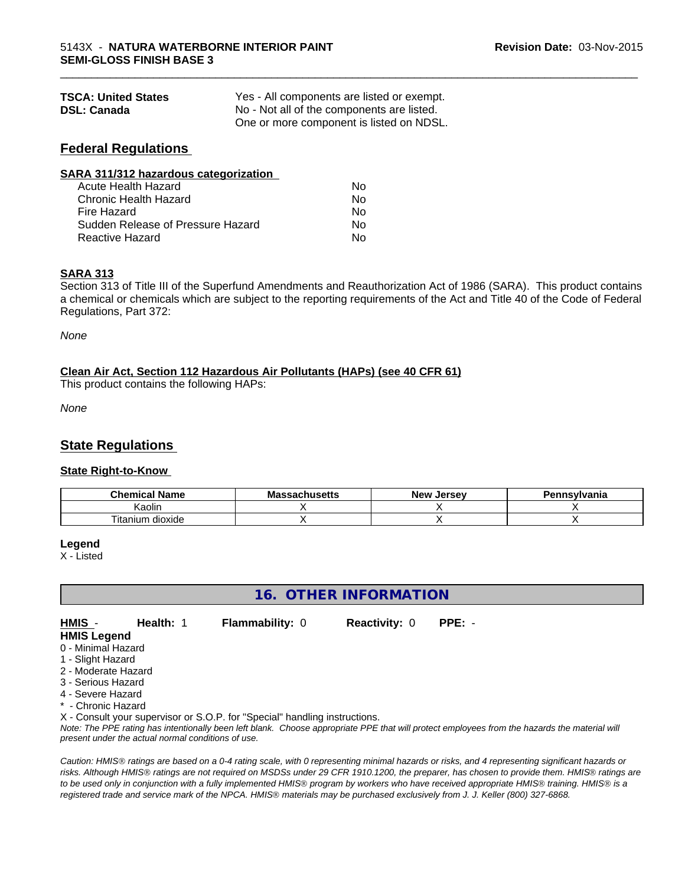| <b>TSCA: United States</b> | Yes - All components are listed or exempt. |  |
|----------------------------|--------------------------------------------|--|
| <b>DSL: Canada</b>         | No - Not all of the components are listed. |  |
|                            | One or more component is listed on NDSL.   |  |

# **Federal Regulations**

| SARA 311/312 hazardous categorization |    |  |
|---------------------------------------|----|--|
| Acute Health Hazard                   | Nο |  |
| Chronic Health Hazard                 | Nο |  |
| Fire Hazard                           | No |  |
| Sudden Release of Pressure Hazard     | Nο |  |
| Reactive Hazard                       | Nο |  |

# **SARA 313**

Section 313 of Title III of the Superfund Amendments and Reauthorization Act of 1986 (SARA). This product contains a chemical or chemicals which are subject to the reporting requirements of the Act and Title 40 of the Code of Federal Regulations, Part 372:

\_\_\_\_\_\_\_\_\_\_\_\_\_\_\_\_\_\_\_\_\_\_\_\_\_\_\_\_\_\_\_\_\_\_\_\_\_\_\_\_\_\_\_\_\_\_\_\_\_\_\_\_\_\_\_\_\_\_\_\_\_\_\_\_\_\_\_\_\_\_\_\_\_\_\_\_\_\_\_\_\_\_\_\_\_\_\_\_\_\_\_\_\_

*None*

# **Clean Air Act,Section 112 Hazardous Air Pollutants (HAPs) (see 40 CFR 61)**

This product contains the following HAPs:

*None*

# **State Regulations**

# **State Right-to-Know**

| .<br>Chemical<br><b>Name</b>      | Maeea<br>achusetts: | Jersev<br><b>N</b> OW | Pennsylvania |
|-----------------------------------|---------------------|-----------------------|--------------|
| aolir)                            |                     |                       |              |
| . .<br>÷.<br>dioxide<br>l itanium |                     |                       |              |

#### **Legend**

X - Listed

# **16. OTHER INFORMATION**

**HMIS** - **Health:** 1 **Flammability:** 0 **Reactivity:** 0 **PPE:** - **HMIS Legend**

- 0 Minimal Hazard
- 1 Slight Hazard
- 2 Moderate Hazard
- 3 Serious Hazard
- 4 Severe Hazard
- \* Chronic Hazard

X - Consult your supervisor or S.O.P. for "Special" handling instructions.

*Note: The PPE rating has intentionally been left blank. Choose appropriate PPE that will protect employees from the hazards the material will present under the actual normal conditions of use.*

*Caution: HMISÒ ratings are based on a 0-4 rating scale, with 0 representing minimal hazards or risks, and 4 representing significant hazards or risks. Although HMISÒ ratings are not required on MSDSs under 29 CFR 1910.1200, the preparer, has chosen to provide them. HMISÒ ratings are to be used only in conjunction with a fully implemented HMISÒ program by workers who have received appropriate HMISÒ training. HMISÒ is a registered trade and service mark of the NPCA. HMISÒ materials may be purchased exclusively from J. J. Keller (800) 327-6868.*